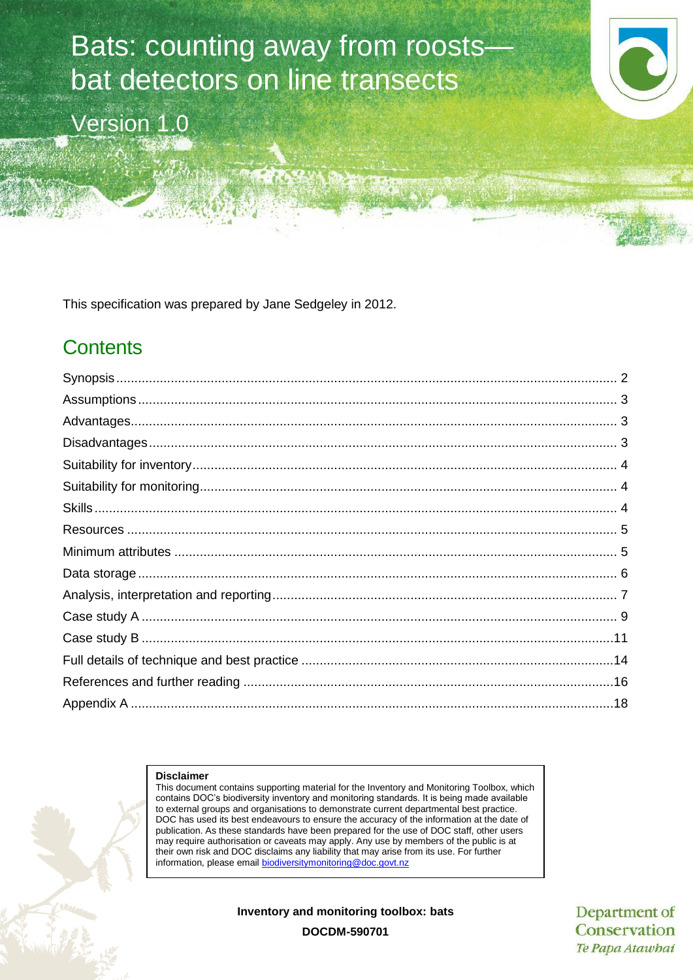# Bats: counting away from roosts bat detectors on line transects

Version 1.0

This specification was prepared by Jane Sedgeley in 2012.

# **Contents**

#### **Disclaimer**

This document contains supporting material for the Inventory and Monitoring Toolbox, which contains DOC's biodiversity inventory and monitoring standards. It is being made available to external groups and organisations to demonstrate current departmental best practice. DOC has used its best endeavours to ensure the accuracy of the information at the date of publication. As these standards have been prepared for the use of DOC staff, other users may require authorisation or caveats may apply. Any use by members of the public is at their own risk and DOC disclaims any liability that may arise from its use. For further information, please email [biodiversitymonitoring@doc.govt.nz](mailto:biodiversitymonitoring@doc.govt.nz)

**Inventory and monitoring toolbox: bats**

Department of Conservation Te Papa Atawhai

**DOCDM-590701**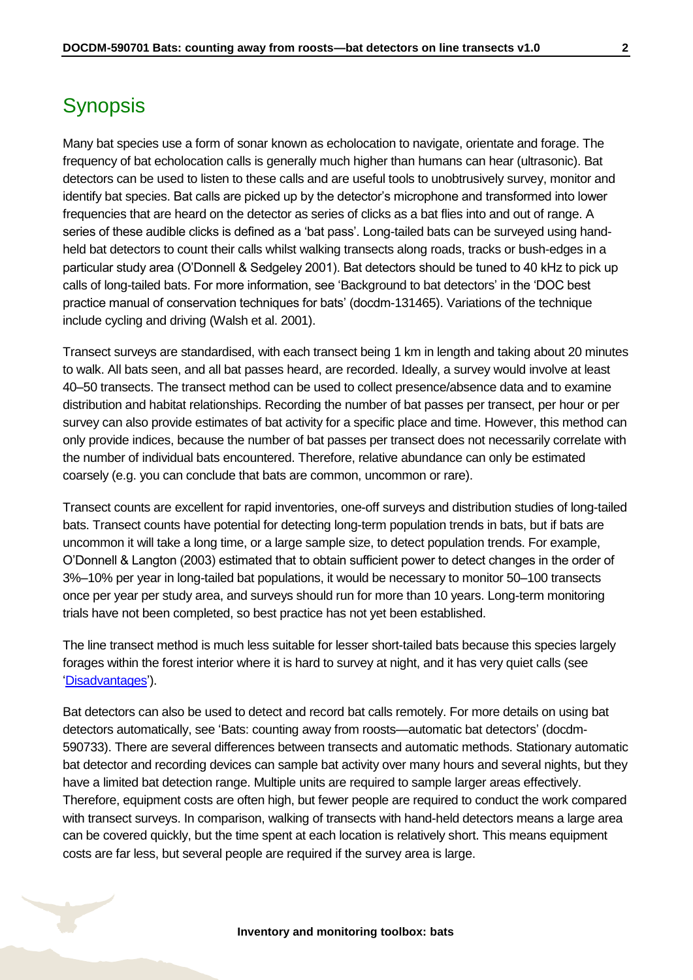# <span id="page-1-0"></span>**Synopsis**

Many bat species use a form of sonar known as echolocation to navigate, orientate and forage. The frequency of bat echolocation calls is generally much higher than humans can hear (ultrasonic). Bat detectors can be used to listen to these calls and are useful tools to unobtrusively survey, monitor and identify bat species. Bat calls are picked up by the detector's microphone and transformed into lower frequencies that are heard on the detector as series of clicks as a bat flies into and out of range. A series of these audible clicks is defined as a 'bat pass'. Long-tailed bats can be surveyed using handheld bat detectors to count their calls whilst walking transects along roads, tracks or bush-edges in a particular study area (O'Donnell & Sedgeley 2001). Bat detectors should be tuned to 40 kHz to pick up calls of long-tailed bats. For more information, see 'Background to bat detectors' in the 'DOC best practice manual of conservation techniques for bats' (docdm-131465). Variations of the technique include cycling and driving (Walsh et al. 2001).

Transect surveys are standardised, with each transect being 1 km in length and taking about 20 minutes to walk. All bats seen, and all bat passes heard, are recorded. Ideally, a survey would involve at least 40–50 transects. The transect method can be used to collect presence/absence data and to examine distribution and habitat relationships. Recording the number of bat passes per transect, per hour or per survey can also provide estimates of bat activity for a specific place and time. However, this method can only provide indices, because the number of bat passes per transect does not necessarily correlate with the number of individual bats encountered. Therefore, relative abundance can only be estimated coarsely (e.g. you can conclude that bats are common, uncommon or rare).

Transect counts are excellent for rapid inventories, one-off surveys and distribution studies of long-tailed bats. Transect counts have potential for detecting long-term population trends in bats, but if bats are uncommon it will take a long time, or a large sample size, to detect population trends. For example, O'Donnell & Langton (2003) estimated that to obtain sufficient power to detect changes in the order of 3%–10% per year in long-tailed bat populations, it would be necessary to monitor 50–100 transects once per year per study area, and surveys should run for more than 10 years. Long-term monitoring trials have not been completed, so best practice has not yet been established.

The line transect method is much less suitable for lesser short-tailed bats because this species largely forages within the forest interior where it is hard to survey at night, and it has very quiet calls (see ['Disadvantages'\)](#page-2-2).

Bat detectors can also be used to detect and record bat calls remotely. For more details on using bat detectors automatically, see 'Bats: counting away from roosts—automatic bat detectors' (docdm-590733). There are several differences between transects and automatic methods. Stationary automatic bat detector and recording devices can sample bat activity over many hours and several nights, but they have a limited bat detection range. Multiple units are required to sample larger areas effectively. Therefore, equipment costs are often high, but fewer people are required to conduct the work compared with transect surveys. In comparison, walking of transects with hand-held detectors means a large area can be covered quickly, but the time spent at each location is relatively short. This means equipment costs are far less, but several people are required if the survey area is large.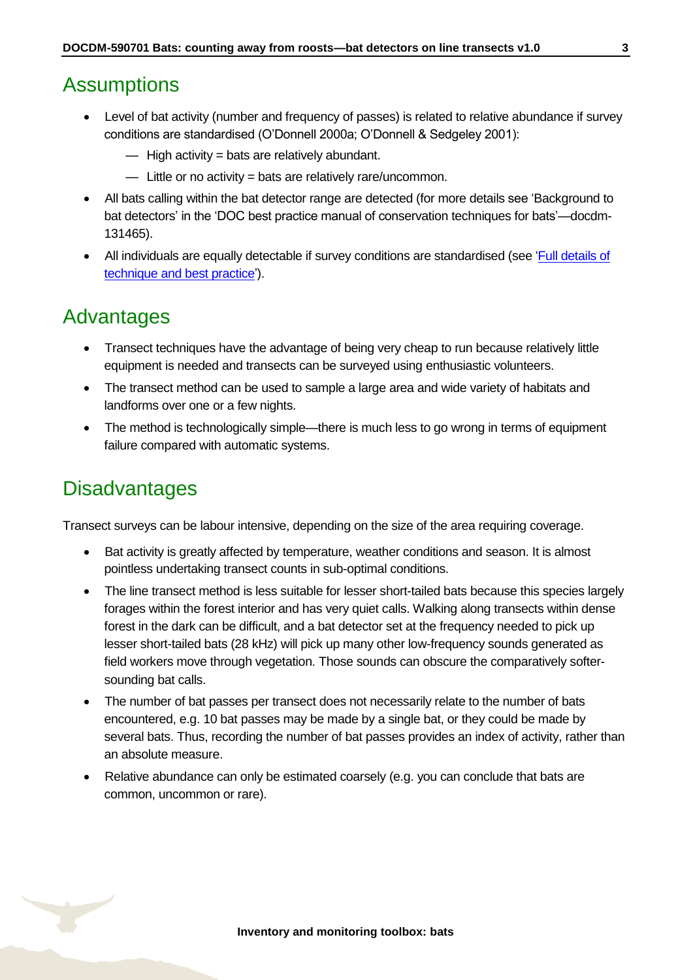### <span id="page-2-0"></span>**Assumptions**

- Level of bat activity (number and frequency of passes) is related to relative abundance if survey conditions are standardised (O'Donnell 2000a; O'Donnell & Sedgeley 2001):
	- $-$  High activity = bats are relatively abundant.
	- Little or no activity = bats are relatively rare/uncommon.
- All bats calling within the bat detector range are detected (for more details see 'Background to bat detectors' in the 'DOC best practice manual of conservation techniques for bats'—docdm-131465).
- All individuals are equally detectable if survey conditions are standardised (see 'Full details of [technique and best practice'\)](#page-13-0).

### <span id="page-2-1"></span>Advantages

- Transect techniques have the advantage of being very cheap to run because relatively little equipment is needed and transects can be surveyed using enthusiastic volunteers.
- The transect method can be used to sample a large area and wide variety of habitats and landforms over one or a few nights.
- The method is technologically simple—there is much less to go wrong in terms of equipment failure compared with automatic systems.

# <span id="page-2-2"></span>**Disadvantages**

Transect surveys can be labour intensive, depending on the size of the area requiring coverage.

- Bat activity is greatly affected by temperature, weather conditions and season. It is almost pointless undertaking transect counts in sub-optimal conditions.
- The line transect method is less suitable for lesser short-tailed bats because this species largely forages within the forest interior and has very quiet calls. Walking along transects within dense forest in the dark can be difficult, and a bat detector set at the frequency needed to pick up lesser short-tailed bats (28 kHz) will pick up many other low-frequency sounds generated as field workers move through vegetation. Those sounds can obscure the comparatively softersounding bat calls.
- The number of bat passes per transect does not necessarily relate to the number of bats encountered, e.g. 10 bat passes may be made by a single bat, or they could be made by several bats. Thus, recording the number of bat passes provides an index of activity, rather than an absolute measure.
- Relative abundance can only be estimated coarsely (e.g. you can conclude that bats are common, uncommon or rare).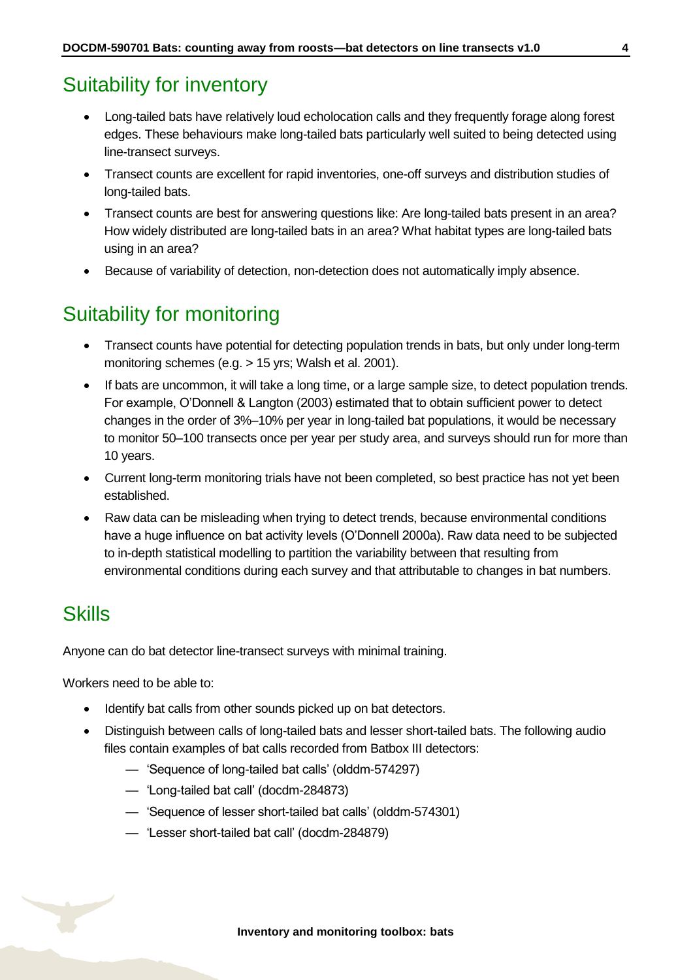# <span id="page-3-0"></span>Suitability for inventory

- Long-tailed bats have relatively loud echolocation calls and they frequently forage along forest edges. These behaviours make long-tailed bats particularly well suited to being detected using line-transect surveys.
- Transect counts are excellent for rapid inventories, one-off surveys and distribution studies of long-tailed bats.
- Transect counts are best for answering questions like: Are long-tailed bats present in an area? How widely distributed are long-tailed bats in an area? What habitat types are long-tailed bats using in an area?
- Because of variability of detection, non-detection does not automatically imply absence.

# <span id="page-3-1"></span>Suitability for monitoring

- Transect counts have potential for detecting population trends in bats, but only under long-term monitoring schemes (e.g. > 15 yrs; Walsh et al. 2001).
- If bats are uncommon, it will take a long time, or a large sample size, to detect population trends. For example, O'Donnell & Langton (2003) estimated that to obtain sufficient power to detect changes in the order of 3%–10% per year in long-tailed bat populations, it would be necessary to monitor 50–100 transects once per year per study area, and surveys should run for more than 10 years.
- Current long-term monitoring trials have not been completed, so best practice has not yet been established.
- Raw data can be misleading when trying to detect trends, because environmental conditions have a huge influence on bat activity levels (O'Donnell 2000a). Raw data need to be subjected to in-depth statistical modelling to partition the variability between that resulting from environmental conditions during each survey and that attributable to changes in bat numbers.

### <span id="page-3-2"></span>**Skills**

Anyone can do bat detector line-transect surveys with minimal training.

Workers need to be able to:

- Identify bat calls from other sounds picked up on bat detectors.
- Distinguish between calls of long-tailed bats and lesser short-tailed bats. The following audio files contain examples of bat calls recorded from Batbox III detectors:
	- 'Sequence of long-tailed bat calls' (olddm-574297)
	- 'Long-tailed bat call' (docdm-284873)
	- 'Sequence of lesser short-tailed bat calls' (olddm-574301)
	- 'Lesser short-tailed bat call' (docdm-284879)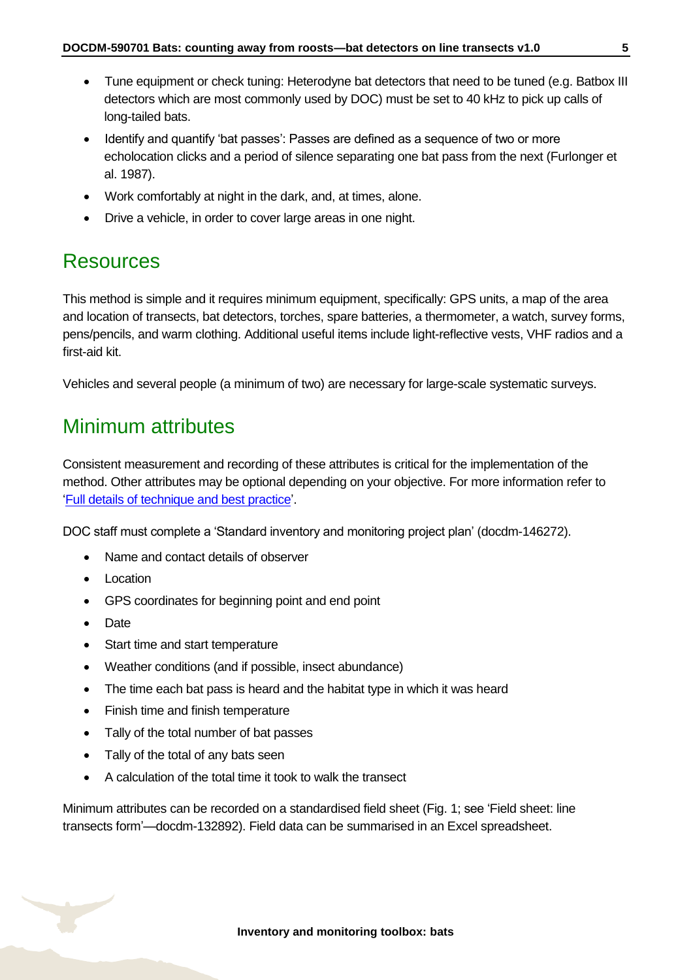- Tune equipment or check tuning: Heterodyne bat detectors that need to be tuned (e.g. Batbox III detectors which are most commonly used by DOC) must be set to 40 kHz to pick up calls of long-tailed bats.
- Identify and quantify 'bat passes': Passes are defined as a sequence of two or more echolocation clicks and a period of silence separating one bat pass from the next (Furlonger et al. 1987).
- Work comfortably at night in the dark, and, at times, alone.
- Drive a vehicle, in order to cover large areas in one night.

# <span id="page-4-0"></span>Resources

This method is simple and it requires minimum equipment, specifically: GPS units, a map of the area and location of transects, bat detectors, torches, spare batteries, a thermometer, a watch, survey forms, pens/pencils, and warm clothing. Additional useful items include light-reflective vests, VHF radios and a first-aid kit.

Vehicles and several people (a minimum of two) are necessary for large-scale systematic surveys.

# <span id="page-4-1"></span>Minimum attributes

Consistent measurement and recording of these attributes is critical for the implementation of the method. Other attributes may be optional depending on your objective. For more information refer to ['Full details of technique and best practice'](#page-13-0).

DOC staff must complete a 'Standard inventory and monitoring project plan' (docdm-146272).

- Name and contact details of observer
- Location
- GPS coordinates for beginning point and end point
- Date
- Start time and start temperature
- Weather conditions (and if possible, insect abundance)
- The time each bat pass is heard and the habitat type in which it was heard
- Finish time and finish temperature
- Tally of the total number of bat passes
- Tally of the total of any bats seen
- A calculation of the total time it took to walk the transect

Minimum attributes can be recorded on a standardised field sheet (Fig. 1; see 'Field sheet: line transects form'—docdm-132892). Field data can be summarised in an Excel spreadsheet.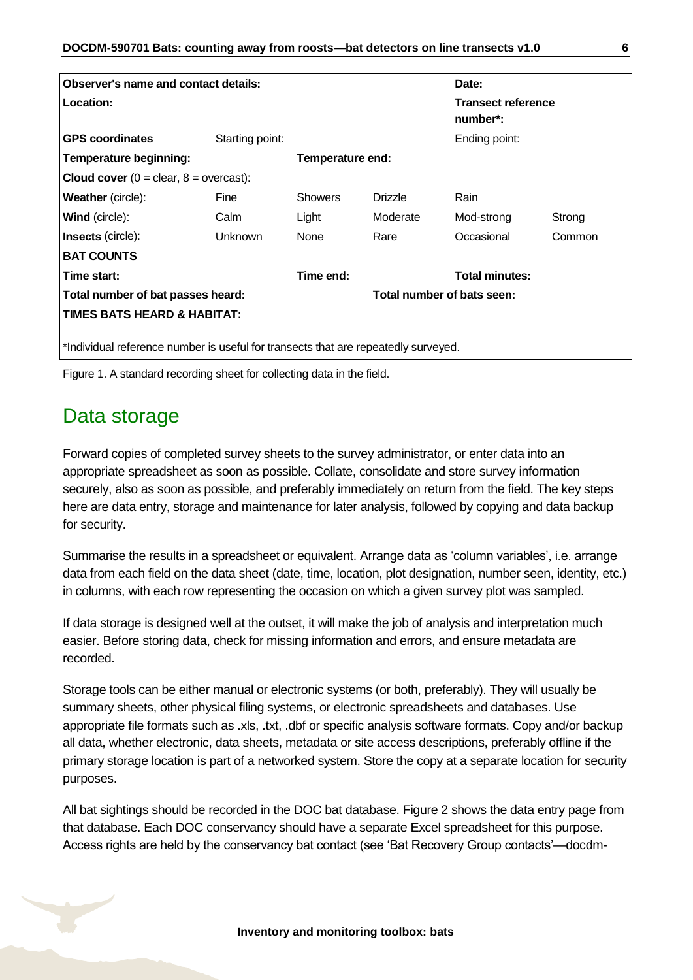| Observer's name and contact details:                                               |                 |                  |                                       | Date:                 |        |  |
|------------------------------------------------------------------------------------|-----------------|------------------|---------------------------------------|-----------------------|--------|--|
| <b>Location:</b>                                                                   |                 |                  | <b>Transect reference</b><br>number*: |                       |        |  |
| <b>GPS coordinates</b>                                                             | Starting point: |                  |                                       | Ending point:         |        |  |
| Temperature beginning:                                                             |                 | Temperature end: |                                       |                       |        |  |
| <b>Cloud cover</b> $(0 = \text{clear}, 8 = \text{overs})$ :                        |                 |                  |                                       |                       |        |  |
| <b>Weather</b> (circle):                                                           | Fine            | <b>Showers</b>   | <b>Drizzle</b>                        | Rain                  |        |  |
| <b>Wind</b> (circle):                                                              | Calm            | Light            | Moderate                              | Mod-strong            | Strong |  |
| Insects (circle):                                                                  | Unknown         | None             | Rare                                  | Occasional            | Common |  |
| <b>BAT COUNTS</b>                                                                  |                 |                  |                                       |                       |        |  |
| Time start:                                                                        |                 | Time end:        |                                       | <b>Total minutes:</b> |        |  |
| Total number of bat passes heard:                                                  |                 |                  | Total number of bats seen:            |                       |        |  |
| <b>TIMES BATS HEARD &amp; HABITAT:</b>                                             |                 |                  |                                       |                       |        |  |
|                                                                                    |                 |                  |                                       |                       |        |  |
| *Individual reference number is useful for transects that are repeatedly surveyed. |                 |                  |                                       |                       |        |  |



### <span id="page-5-0"></span>Data storage

Forward copies of completed survey sheets to the survey administrator, or enter data into an appropriate spreadsheet as soon as possible. Collate, consolidate and store survey information securely, also as soon as possible, and preferably immediately on return from the field. The key steps here are data entry, storage and maintenance for later analysis, followed by copying and data backup for security.

Summarise the results in a spreadsheet or equivalent. Arrange data as 'column variables', i.e. arrange data from each field on the data sheet (date, time, location, plot designation, number seen, identity, etc.) in columns, with each row representing the occasion on which a given survey plot was sampled.

If data storage is designed well at the outset, it will make the job of analysis and interpretation much easier. Before storing data, check for missing information and errors, and ensure metadata are recorded.

Storage tools can be either manual or electronic systems (or both, preferably). They will usually be summary sheets, other physical filing systems, or electronic spreadsheets and databases. Use appropriate file formats such as .xls, .txt, .dbf or specific analysis software formats. Copy and/or backup all data, whether electronic, data sheets, metadata or site access descriptions, preferably offline if the primary storage location is part of a networked system. Store the copy at a separate location for security purposes.

All bat sightings should be recorded in the DOC bat database. Figure 2 shows the data entry page from that database. Each DOC conservancy should have a separate Excel spreadsheet for this purpose. Access rights are held by the conservancy bat contact (see 'Bat Recovery Group contacts'—docdm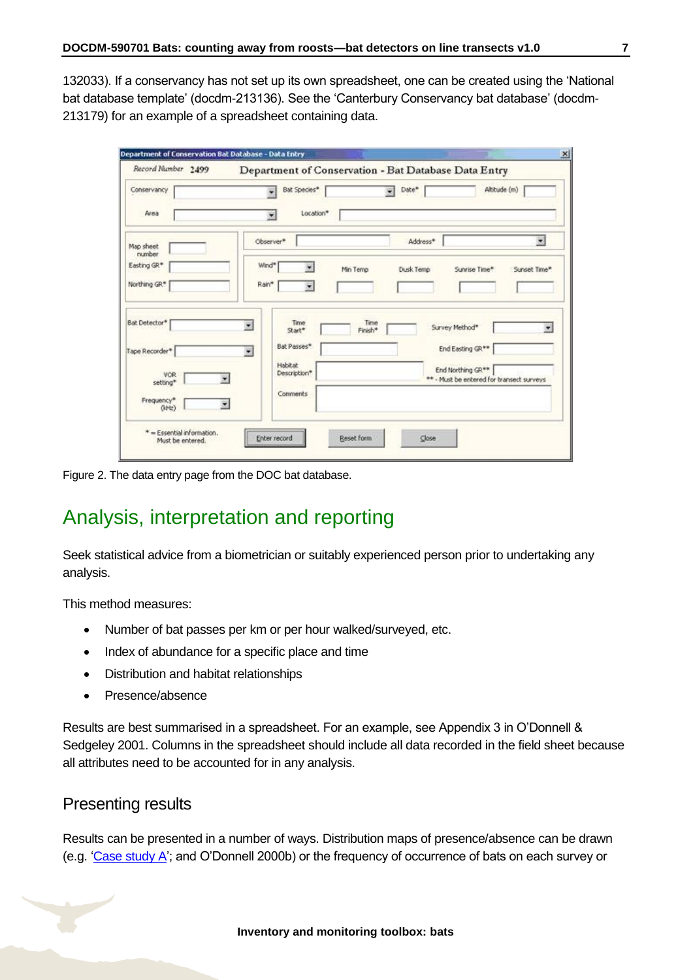132033). If a conservancy has not set up its own spreadsheet, one can be created using the 'National bat database template' (docdm-213136). See the 'Canterbury Conservancy bat database' (docdm-213179) for an example of a spreadsheet containing data.

| Record Number 2499                                                       |                                                                                                  |                          | Department of Conservation - Bat Database Data Entry                                                 |                           |
|--------------------------------------------------------------------------|--------------------------------------------------------------------------------------------------|--------------------------|------------------------------------------------------------------------------------------------------|---------------------------|
| Conservancy<br>Area                                                      | Bat Species*<br>Location*<br>٠                                                                   | $\overline{\phantom{a}}$ | Date*                                                                                                | Altitude (m)              |
| Map sheet<br>number<br>Easting GR*<br>Northing GR*                       | Observer*<br>Wind*<br>Rain*<br>$\overline{\mathbf{r}}$                                           | Min Temp                 | Address*<br>Dusk Temp<br>Sunrise Time*                                                               | $\bullet$<br>Sunset Time* |
| <b>Bat Detector*</b><br>Tape Recorder*<br>VOR.<br>setting*               | Time<br>$\overline{\phantom{a}}$<br>Start*<br>Bat Passes*<br>粛<br><b>Habitat</b><br>Description* | Time<br>Finish*          | Survey Method*<br>End Easting GR**<br>End Northing GR**<br>** - Must be entered for transect surveys |                           |
| Frequency*<br>$(k+tz)$<br>* = Essential information.<br>Must be entered. | Comments<br>×<br>Enter record                                                                    | Reset form               | Close                                                                                                |                           |

Figure 2. The data entry page from the DOC bat database.

# <span id="page-6-0"></span>Analysis, interpretation and reporting

Seek statistical advice from a biometrician or suitably experienced person prior to undertaking any analysis.

This method measures:

- Number of bat passes per km or per hour walked/surveyed, etc.
- Index of abundance for a specific place and time
- Distribution and habitat relationships
- Presence/absence

Results are best summarised in a spreadsheet. For an example, see Appendix 3 in O'Donnell & Sedgeley 2001. Columns in the spreadsheet should include all data recorded in the field sheet because all attributes need to be accounted for in any analysis.

#### Presenting results

Results can be presented in a number of ways. Distribution maps of presence/absence can be drawn (e.g. ['Case study A'](#page-8-0); and O'Donnell 2000b) or the frequency of occurrence of bats on each survey or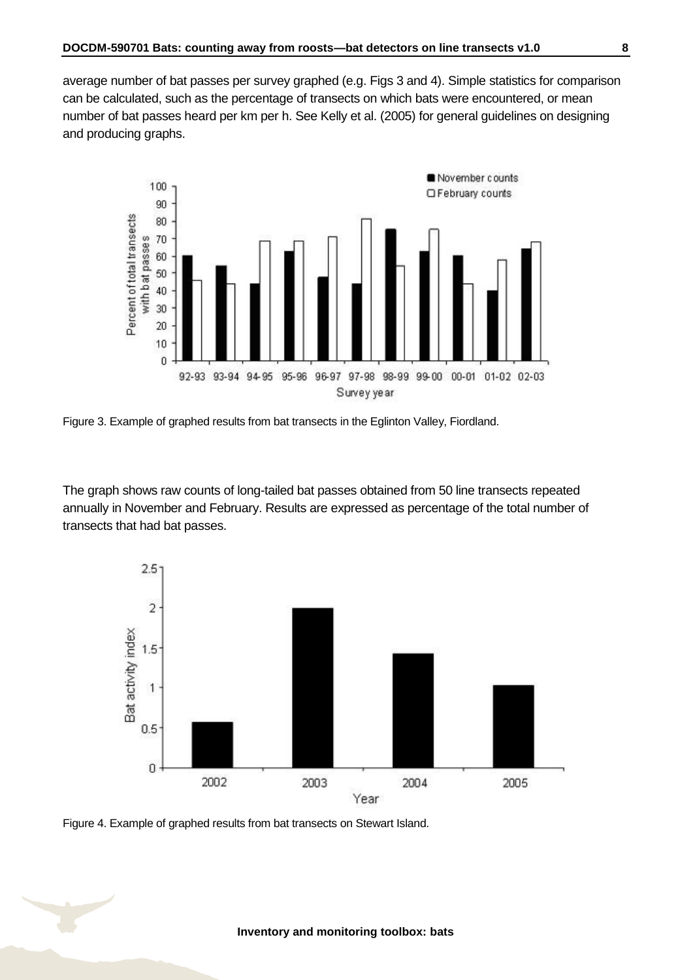average number of bat passes per survey graphed (e.g. Figs 3 and 4). Simple statistics for comparison can be calculated, such as the percentage of transects on which bats were encountered, or mean number of bat passes heard per km per h. See Kelly et al. (2005) for general guidelines on designing and producing graphs.



Figure 3. Example of graphed results from bat transects in the Eglinton Valley, Fiordland.

The graph shows raw counts of long-tailed bat passes obtained from 50 line transects repeated annually in November and February. Results are expressed as percentage of the total number of transects that had bat passes.



Figure 4. Example of graphed results from bat transects on Stewart Island.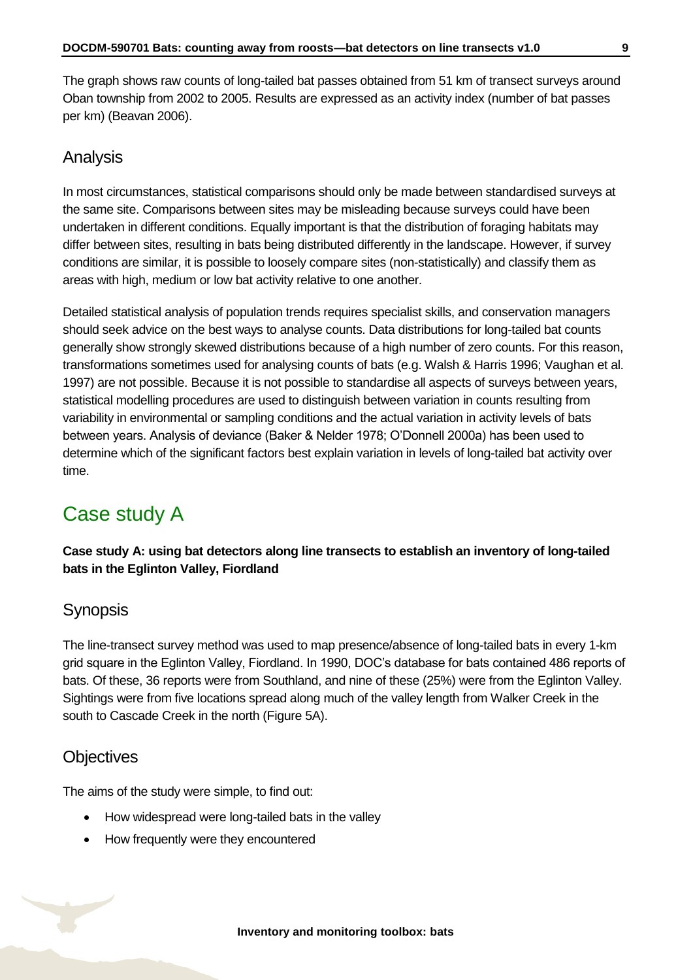The graph shows raw counts of long-tailed bat passes obtained from 51 km of transect surveys around Oban township from 2002 to 2005. Results are expressed as an activity index (number of bat passes per km) (Beavan 2006).

#### Analysis

In most circumstances, statistical comparisons should only be made between standardised surveys at the same site. Comparisons between sites may be misleading because surveys could have been undertaken in different conditions. Equally important is that the distribution of foraging habitats may differ between sites, resulting in bats being distributed differently in the landscape. However, if survey conditions are similar, it is possible to loosely compare sites (non-statistically) and classify them as areas with high, medium or low bat activity relative to one another.

Detailed statistical analysis of population trends requires specialist skills, and conservation managers should seek advice on the best ways to analyse counts. Data distributions for long-tailed bat counts generally show strongly skewed distributions because of a high number of zero counts. For this reason, transformations sometimes used for analysing counts of bats (e.g. Walsh & Harris 1996; Vaughan et al. 1997) are not possible. Because it is not possible to standardise all aspects of surveys between years, statistical modelling procedures are used to distinguish between variation in counts resulting from variability in environmental or sampling conditions and the actual variation in activity levels of bats between years. Analysis of deviance (Baker & Nelder 1978; O'Donnell 2000a) has been used to determine which of the significant factors best explain variation in levels of long-tailed bat activity over time.

# <span id="page-8-0"></span>Case study A

**Case study A: using bat detectors along line transects to establish an inventory of long-tailed bats in the Eglinton Valley, Fiordland**

### **Synopsis**

The line-transect survey method was used to map presence/absence of long-tailed bats in every 1-km grid square in the Eglinton Valley, Fiordland. In 1990, DOC's database for bats contained 486 reports of bats. Of these, 36 reports were from Southland, and nine of these (25%) were from the Eglinton Valley. Sightings were from five locations spread along much of the valley length from Walker Creek in the south to Cascade Creek in the north (Figure 5A).

### **Objectives**

The aims of the study were simple, to find out:

- How widespread were long-tailed bats in the valley
- How frequently were they encountered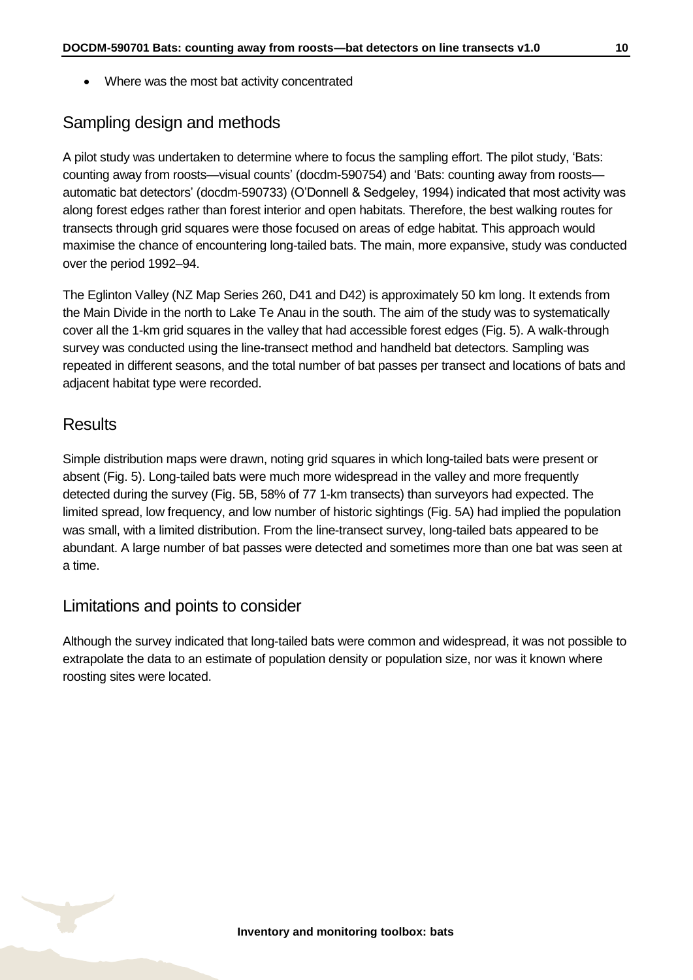• Where was the most bat activity concentrated

#### Sampling design and methods

A pilot study was undertaken to determine where to focus the sampling effort. The pilot study, 'Bats: counting away from roosts—visual counts' (docdm-590754) and 'Bats: counting away from roosts automatic bat detectors' (docdm-590733) (O'Donnell & Sedgeley, 1994) indicated that most activity was along forest edges rather than forest interior and open habitats. Therefore, the best walking routes for transects through grid squares were those focused on areas of edge habitat. This approach would maximise the chance of encountering long-tailed bats. The main, more expansive, study was conducted over the period 1992–94.

The Eglinton Valley (NZ Map Series 260, D41 and D42) is approximately 50 km long. It extends from the Main Divide in the north to Lake Te Anau in the south. The aim of the study was to systematically cover all the 1-km grid squares in the valley that had accessible forest edges (Fig. 5). A walk-through survey was conducted using the line-transect method and handheld bat detectors. Sampling was repeated in different seasons, and the total number of bat passes per transect and locations of bats and adjacent habitat type were recorded.

#### **Results**

Simple distribution maps were drawn, noting grid squares in which long-tailed bats were present or absent (Fig. 5). Long-tailed bats were much more widespread in the valley and more frequently detected during the survey (Fig. 5B, 58% of 77 1-km transects) than surveyors had expected. The limited spread, low frequency, and low number of historic sightings (Fig. 5A) had implied the population was small, with a limited distribution. From the line-transect survey, long-tailed bats appeared to be abundant. A large number of bat passes were detected and sometimes more than one bat was seen at a time.

#### Limitations and points to consider

Although the survey indicated that long-tailed bats were common and widespread, it was not possible to extrapolate the data to an estimate of population density or population size, nor was it known where roosting sites were located.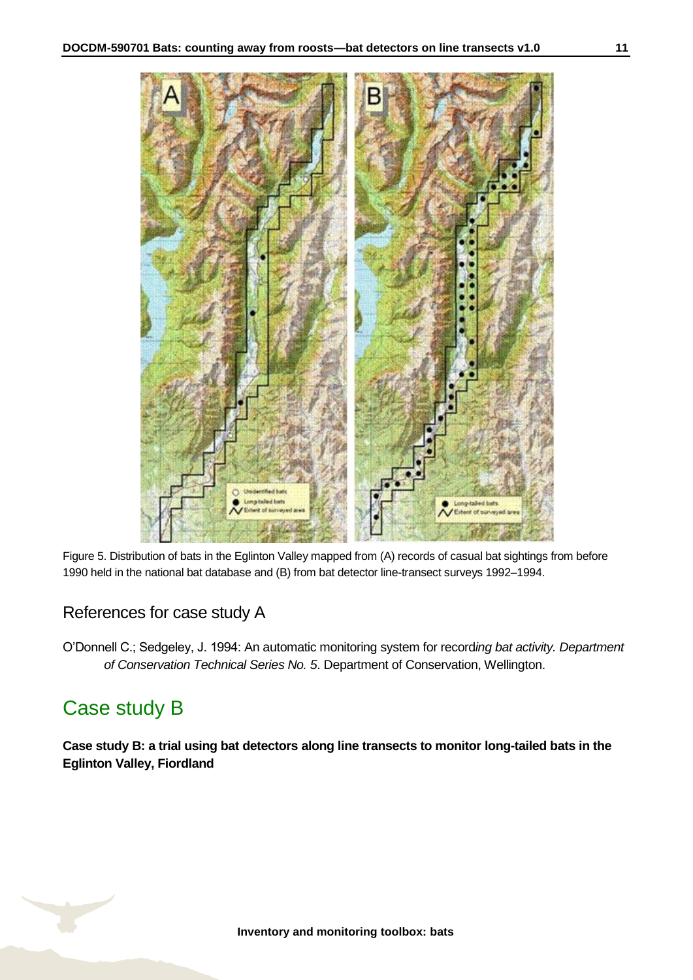

Figure 5. Distribution of bats in the Eglinton Valley mapped from (A) records of casual bat sightings from before 1990 held in the national bat database and (B) from bat detector line-transect surveys 1992–1994.

### References for case study A

O'Donnell C.; Sedgeley, J. 1994: An automatic monitoring system for record*ing bat activity. Department of Conservation Technical Series No. 5*. Department of Conservation, Wellington.

# <span id="page-10-0"></span>Case study B

**Case study B: a trial using bat detectors along line transects to monitor long-tailed bats in the Eglinton Valley, Fiordland**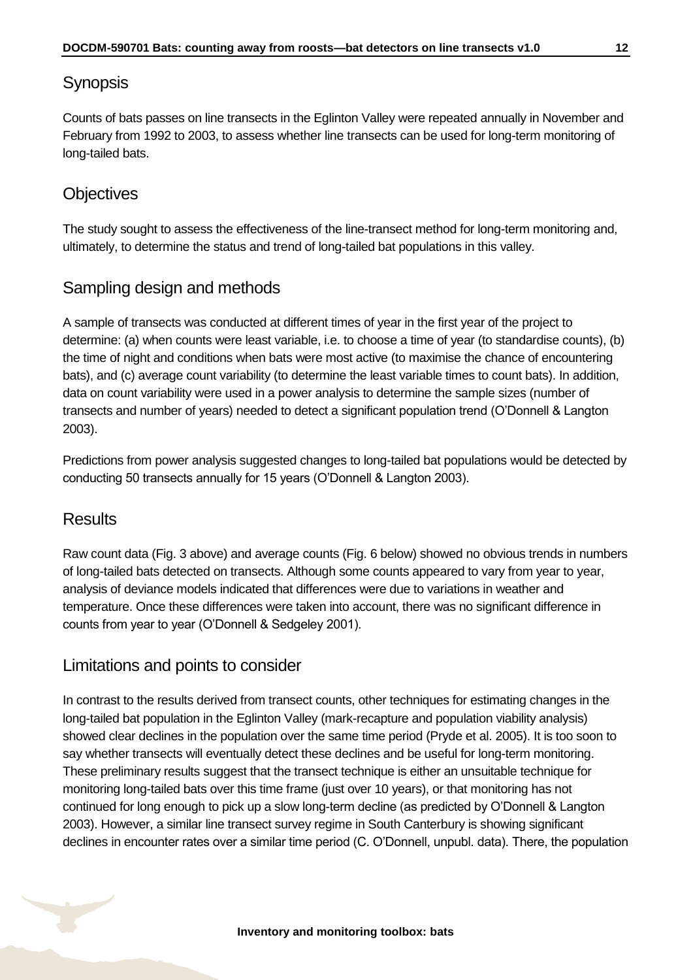### Synopsis

Counts of bats passes on line transects in the Eglinton Valley were repeated annually in November and February from 1992 to 2003, to assess whether line transects can be used for long-term monitoring of long-tailed bats.

### **Objectives**

The study sought to assess the effectiveness of the line-transect method for long-term monitoring and, ultimately, to determine the status and trend of long-tailed bat populations in this valley.

### Sampling design and methods

A sample of transects was conducted at different times of year in the first year of the project to determine: (a) when counts were least variable, i.e. to choose a time of year (to standardise counts), (b) the time of night and conditions when bats were most active (to maximise the chance of encountering bats), and (c) average count variability (to determine the least variable times to count bats). In addition, data on count variability were used in a power analysis to determine the sample sizes (number of transects and number of years) needed to detect a significant population trend (O'Donnell & Langton 2003).

Predictions from power analysis suggested changes to long-tailed bat populations would be detected by conducting 50 transects annually for 15 years (O'Donnell & Langton 2003).

### **Results**

Raw count data (Fig. 3 above) and average counts (Fig. 6 below) showed no obvious trends in numbers of long-tailed bats detected on transects. Although some counts appeared to vary from year to year, analysis of deviance models indicated that differences were due to variations in weather and temperature. Once these differences were taken into account, there was no significant difference in counts from year to year (O'Donnell & Sedgeley 2001).

### Limitations and points to consider

In contrast to the results derived from transect counts, other techniques for estimating changes in the long-tailed bat population in the Eglinton Valley (mark-recapture and population viability analysis) showed clear declines in the population over the same time period (Pryde et al. 2005). It is too soon to say whether transects will eventually detect these declines and be useful for long-term monitoring. These preliminary results suggest that the transect technique is either an unsuitable technique for monitoring long-tailed bats over this time frame (just over 10 years), or that monitoring has not continued for long enough to pick up a slow long-term decline (as predicted by O'Donnell & Langton 2003). However, a similar line transect survey regime in South Canterbury is showing significant declines in encounter rates over a similar time period (C. O'Donnell, unpubl. data). There, the population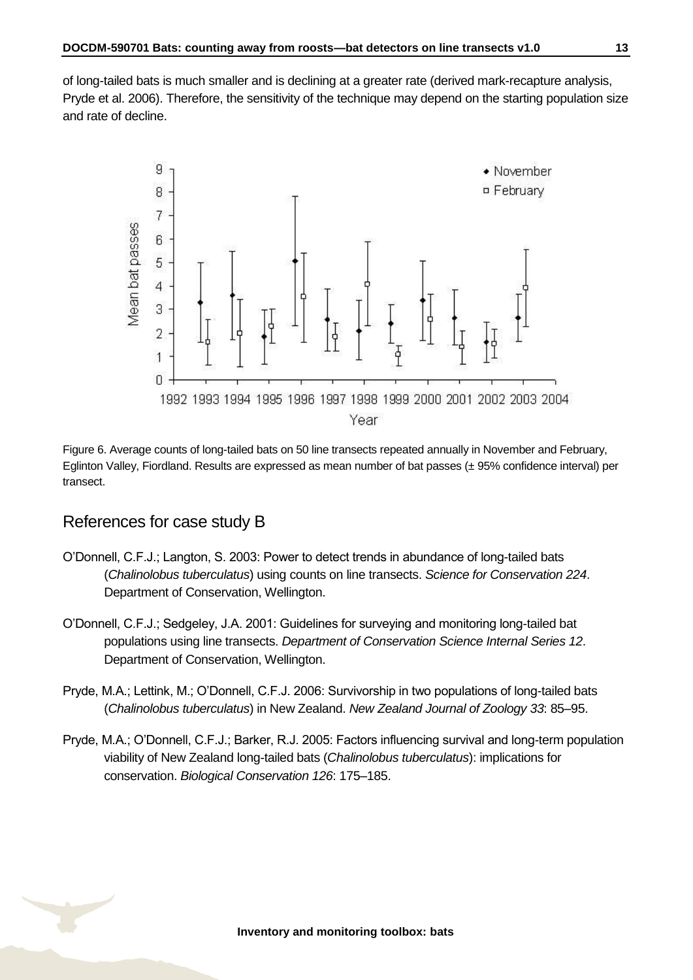of long-tailed bats is much smaller and is declining at a greater rate (derived mark-recapture analysis, Pryde et al. 2006). Therefore, the sensitivity of the technique may depend on the starting population size and rate of decline.



Figure 6. Average counts of long-tailed bats on 50 line transects repeated annually in November and February, Eglinton Valley, Fiordland. Results are expressed as mean number of bat passes (± 95% confidence interval) per transect.

#### References for case study B

- O'Donnell, C.F.J.; Langton, S. 2003: Power to detect trends in abundance of long-tailed bats (*Chalinolobus tuberculatus*) using counts on line transects. *Science for Conservation 224*. Department of Conservation, Wellington.
- O'Donnell, C.F.J.; Sedgeley, J.A. 2001: Guidelines for surveying and monitoring long-tailed bat populations using line transects. *Department of Conservation Science Internal Series 12*. Department of Conservation, Wellington.
- Pryde, M.A.; Lettink, M.; O'Donnell, C.F.J. 2006: Survivorship in two populations of long-tailed bats (*Chalinolobus tuberculatus*) in New Zealand. *New Zealand Journal of Zoology 33*: 85–95.
- Pryde, M.A.; O'Donnell, C.F.J.; Barker, R.J. 2005: Factors influencing survival and long-term population viability of New Zealand long-tailed bats (*Chalinolobus tuberculatus*): implications for conservation. *Biological Conservation 126*: 175–185.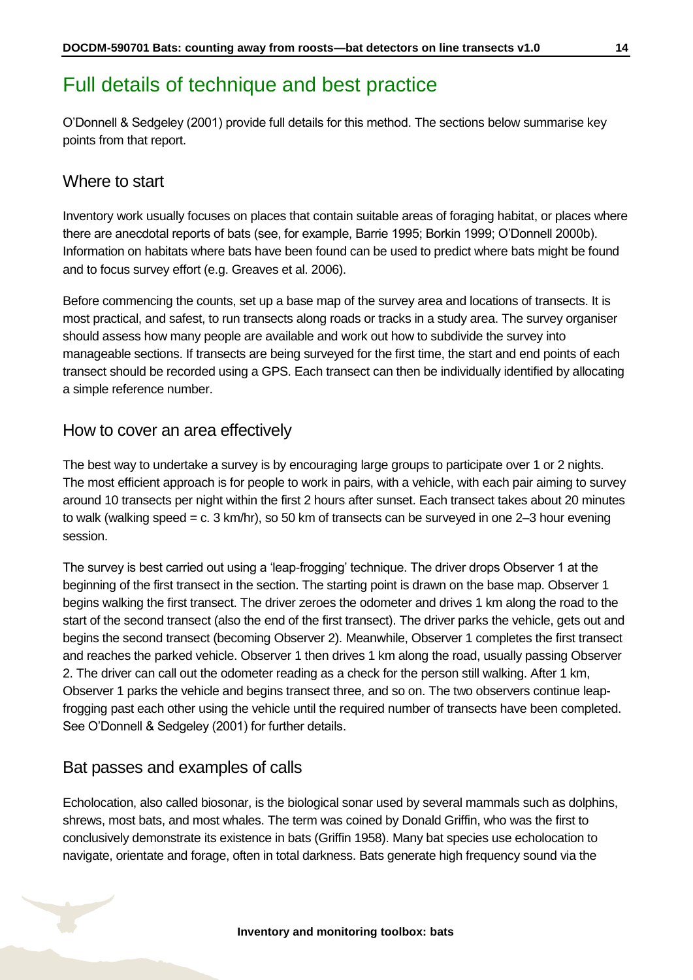### <span id="page-13-0"></span>Full details of technique and best practice

O'Donnell & Sedgeley (2001) provide full details for this method. The sections below summarise key points from that report.

#### Where to start

Inventory work usually focuses on places that contain suitable areas of foraging habitat, or places where there are anecdotal reports of bats (see, for example, Barrie 1995; Borkin 1999; O'Donnell 2000b). Information on habitats where bats have been found can be used to predict where bats might be found and to focus survey effort (e.g. Greaves et al. 2006).

Before commencing the counts, set up a base map of the survey area and locations of transects. It is most practical, and safest, to run transects along roads or tracks in a study area. The survey organiser should assess how many people are available and work out how to subdivide the survey into manageable sections. If transects are being surveyed for the first time, the start and end points of each transect should be recorded using a GPS. Each transect can then be individually identified by allocating a simple reference number.

#### How to cover an area effectively

The best way to undertake a survey is by encouraging large groups to participate over 1 or 2 nights. The most efficient approach is for people to work in pairs, with a vehicle, with each pair aiming to survey around 10 transects per night within the first 2 hours after sunset. Each transect takes about 20 minutes to walk (walking speed = c. 3 km/hr), so 50 km of transects can be surveyed in one 2–3 hour evening session.

The survey is best carried out using a 'leap-frogging' technique. The driver drops Observer 1 at the beginning of the first transect in the section. The starting point is drawn on the base map. Observer 1 begins walking the first transect. The driver zeroes the odometer and drives 1 km along the road to the start of the second transect (also the end of the first transect). The driver parks the vehicle, gets out and begins the second transect (becoming Observer 2). Meanwhile, Observer 1 completes the first transect and reaches the parked vehicle. Observer 1 then drives 1 km along the road, usually passing Observer 2. The driver can call out the odometer reading as a check for the person still walking. After 1 km, Observer 1 parks the vehicle and begins transect three, and so on. The two observers continue leapfrogging past each other using the vehicle until the required number of transects have been completed. See O'Donnell & Sedgeley (2001) for further details.

#### Bat passes and examples of calls

Echolocation, also called biosonar, is the biological sonar used by several mammals such as dolphins, shrews, most bats, and most whales. The term was coined by Donald Griffin, who was the first to conclusively demonstrate its existence in bats (Griffin 1958). Many bat species use echolocation to navigate, orientate and forage, often in total darkness. Bats generate high frequency sound via the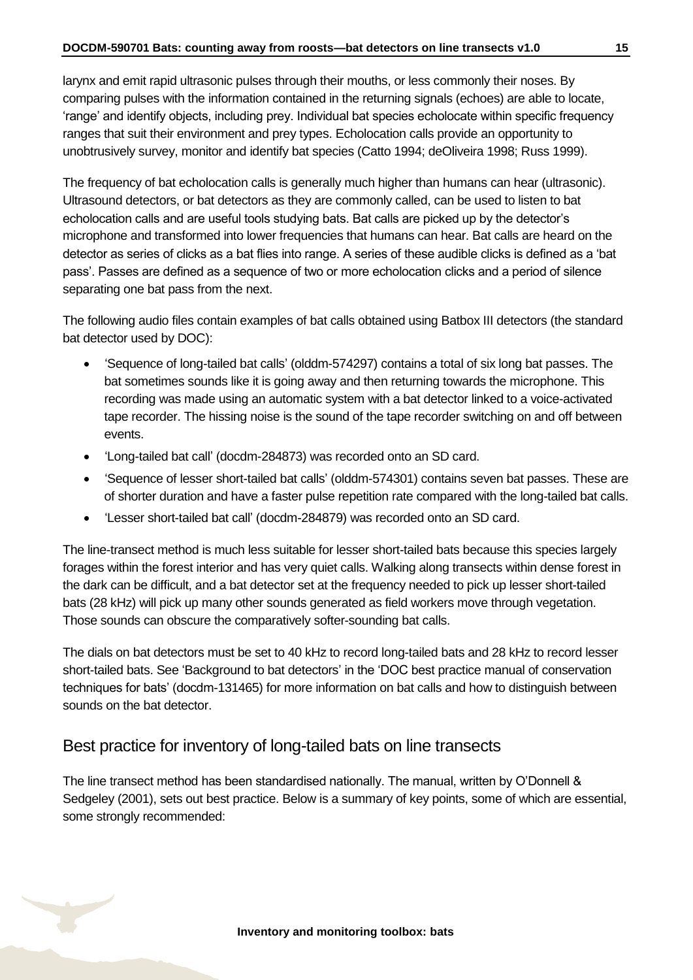larynx and emit rapid ultrasonic pulses through their mouths, or less commonly their noses. By comparing pulses with the information contained in the returning signals (echoes) are able to locate, 'range' and identify objects, including prey. Individual bat species echolocate within specific frequency ranges that suit their environment and prey types. Echolocation calls provide an opportunity to unobtrusively survey, monitor and identify bat species (Catto 1994; deOliveira 1998; Russ 1999).

The frequency of bat echolocation calls is generally much higher than humans can hear (ultrasonic). Ultrasound detectors, or bat detectors as they are commonly called, can be used to listen to bat echolocation calls and are useful tools studying bats. Bat calls are picked up by the detector's microphone and transformed into lower frequencies that humans can hear. Bat calls are heard on the detector as series of clicks as a bat flies into range. A series of these audible clicks is defined as a 'bat pass'. Passes are defined as a sequence of two or more echolocation clicks and a period of silence separating one bat pass from the next.

The following audio files contain examples of bat calls obtained using Batbox III detectors (the standard bat detector used by DOC):

- 'Sequence of long-tailed bat calls' (olddm-574297) contains a total of six long bat passes. The bat sometimes sounds like it is going away and then returning towards the microphone. This recording was made using an automatic system with a bat detector linked to a voice-activated tape recorder. The hissing noise is the sound of the tape recorder switching on and off between events.
- 'Long-tailed bat call' (docdm-284873) was recorded onto an SD card.
- 'Sequence of lesser short-tailed bat calls' (olddm-574301) contains seven bat passes. These are of shorter duration and have a faster pulse repetition rate compared with the long-tailed bat calls.
- 'Lesser short-tailed bat call' (docdm-284879) was recorded onto an SD card.

The line-transect method is much less suitable for lesser short-tailed bats because this species largely forages within the forest interior and has very quiet calls. Walking along transects within dense forest in the dark can be difficult, and a bat detector set at the frequency needed to pick up lesser short-tailed bats (28 kHz) will pick up many other sounds generated as field workers move through vegetation. Those sounds can obscure the comparatively softer-sounding bat calls.

The dials on bat detectors must be set to 40 kHz to record long-tailed bats and 28 kHz to record lesser short-tailed bats. See 'Background to bat detectors' in the 'DOC best practice manual of conservation techniques for bats' (docdm-131465) for more information on bat calls and how to distinguish between sounds on the bat detector.

#### Best practice for inventory of long-tailed bats on line transects

The line transect method has been standardised nationally. The manual, written by O'Donnell & Sedgeley (2001), sets out best practice. Below is a summary of key points, some of which are essential, some strongly recommended: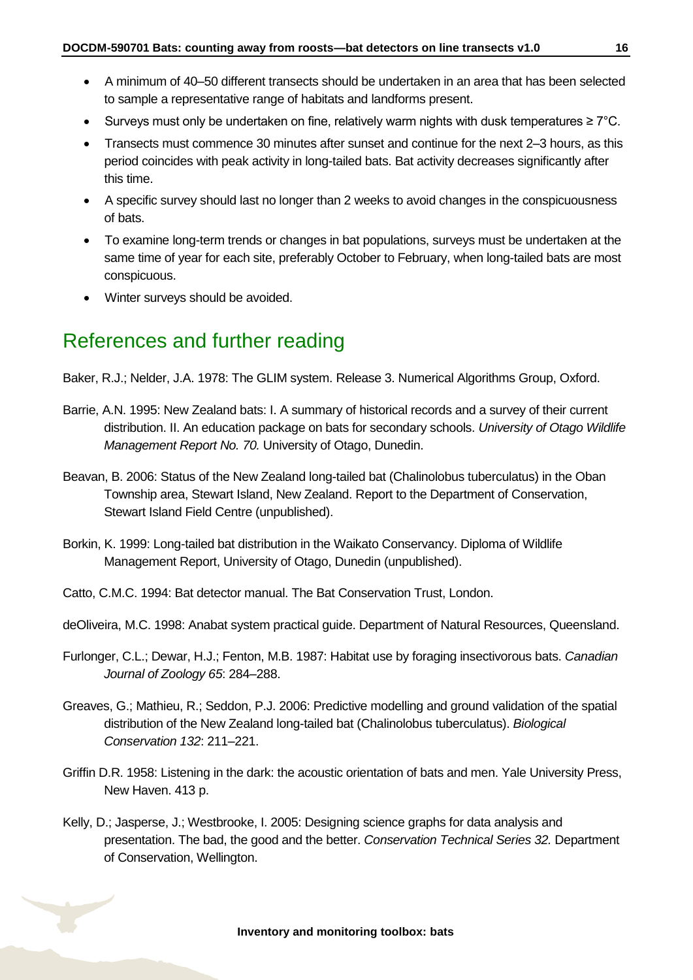- A minimum of 40–50 different transects should be undertaken in an area that has been selected to sample a representative range of habitats and landforms present.
- Surveys must only be undertaken on fine, relatively warm nights with dusk temperatures  $\geq 7^{\circ}$ C.
- Transects must commence 30 minutes after sunset and continue for the next 2–3 hours, as this period coincides with peak activity in long-tailed bats. Bat activity decreases significantly after this time.
- A specific survey should last no longer than 2 weeks to avoid changes in the conspicuousness of bats.
- To examine long-term trends or changes in bat populations, surveys must be undertaken at the same time of year for each site, preferably October to February, when long-tailed bats are most conspicuous.
- Winter surveys should be avoided.

### <span id="page-15-0"></span>References and further reading

- Baker, R.J.; Nelder, J.A. 1978: The GLIM system. Release 3. Numerical Algorithms Group, Oxford.
- Barrie, A.N. 1995: New Zealand bats: I. A summary of historical records and a survey of their current distribution. II. An education package on bats for secondary schools. *University of Otago Wildlife Management Report No. 70.* University of Otago, Dunedin.
- Beavan, B. 2006: Status of the New Zealand long-tailed bat (Chalinolobus tuberculatus) in the Oban Township area, Stewart Island, New Zealand. Report to the Department of Conservation, Stewart Island Field Centre (unpublished).
- Borkin, K. 1999: Long-tailed bat distribution in the Waikato Conservancy. Diploma of Wildlife Management Report, University of Otago, Dunedin (unpublished).
- Catto, C.M.C. 1994: Bat detector manual. The Bat Conservation Trust, London.
- deOliveira, M.C. 1998: Anabat system practical guide. Department of Natural Resources, Queensland.
- Furlonger, C.L.; Dewar, H.J.; Fenton, M.B. 1987: Habitat use by foraging insectivorous bats. *Canadian Journal of Zoology 65*: 284–288.
- Greaves, G.; Mathieu, R.; Seddon, P.J. 2006: Predictive modelling and ground validation of the spatial distribution of the New Zealand long-tailed bat (Chalinolobus tuberculatus). *Biological Conservation 132*: 211–221.
- Griffin D.R. 1958: Listening in the dark: the acoustic orientation of bats and men. Yale University Press, New Haven. 413 p.
- Kelly, D.; Jasperse, J.; Westbrooke, I. 2005: Designing science graphs for data analysis and presentation. The bad, the good and the better. *Conservation Technical Series 32.* Department of Conservation, Wellington.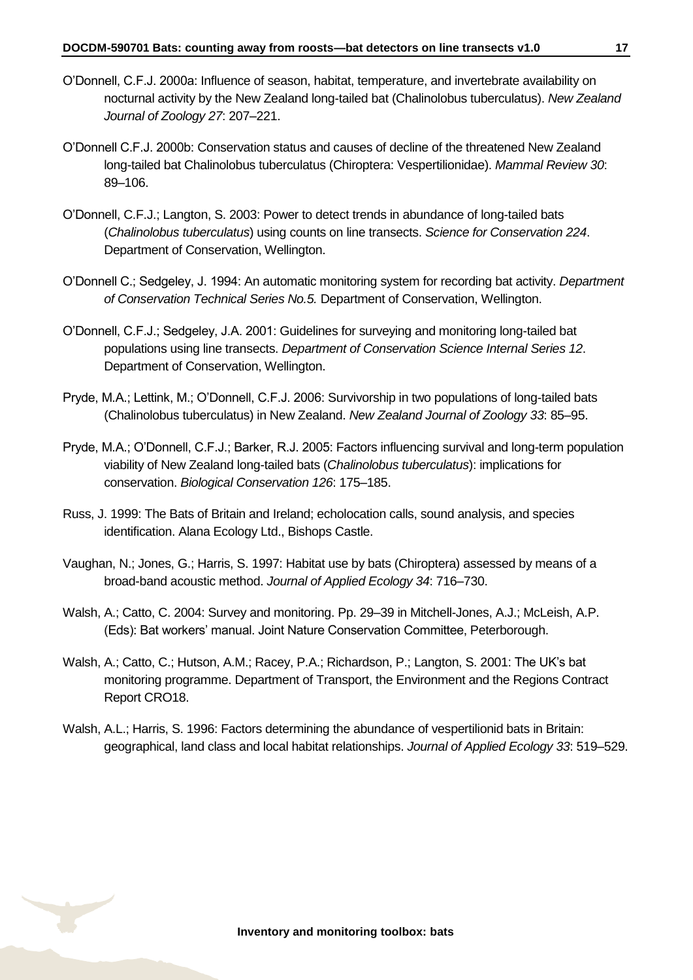- O'Donnell, C.F.J. 2000a: Influence of season, habitat, temperature, and invertebrate availability on nocturnal activity by the New Zealand long-tailed bat (Chalinolobus tuberculatus). *New Zealand Journal of Zoology 27*: 207–221.
- O'Donnell C.F.J. 2000b: Conservation status and causes of decline of the threatened New Zealand long-tailed bat Chalinolobus tuberculatus (Chiroptera: Vespertilionidae). *Mammal Review 30*: 89–106.
- O'Donnell, C.F.J.; Langton, S. 2003: Power to detect trends in abundance of long-tailed bats (*Chalinolobus tuberculatus*) using counts on line transects. *Science for Conservation 224*. Department of Conservation, Wellington.
- O'Donnell C.; Sedgeley, J. 1994: An automatic monitoring system for recording bat activity. *Department of Conservation Technical Series No.5.* Department of Conservation, Wellington.
- O'Donnell, C.F.J.; Sedgeley, J.A. 2001: Guidelines for surveying and monitoring long-tailed bat populations using line transects. *Department of Conservation Science Internal Series 12*. Department of Conservation, Wellington.
- Pryde, M.A.; Lettink, M.; O'Donnell, C.F.J. 2006: Survivorship in two populations of long-tailed bats (Chalinolobus tuberculatus) in New Zealand. *New Zealand Journal of Zoology 33*: 85–95.
- Pryde, M.A.; O'Donnell, C.F.J.; Barker, R.J. 2005: Factors influencing survival and long-term population viability of New Zealand long-tailed bats (*Chalinolobus tuberculatus*): implications for conservation. *Biological Conservation 126*: 175–185.
- Russ, J. 1999: The Bats of Britain and Ireland; echolocation calls, sound analysis, and species identification. Alana Ecology Ltd., Bishops Castle.
- Vaughan, N.; Jones, G.; Harris, S. 1997: Habitat use by bats (Chiroptera) assessed by means of a broad-band acoustic method. *Journal of Applied Ecology 34*: 716–730.
- Walsh, A.; Catto, C. 2004: Survey and monitoring. Pp. 29–39 in Mitchell-Jones, A.J.; McLeish, A.P. (Eds): Bat workers' manual. Joint Nature Conservation Committee, Peterborough.
- Walsh, A.; Catto, C.; Hutson, A.M.; Racey, P.A.; Richardson, P.; Langton, S. 2001: The UK's bat monitoring programme. Department of Transport, the Environment and the Regions Contract Report CRO18.
- Walsh, A.L.; Harris, S. 1996: Factors determining the abundance of vespertilionid bats in Britain: geographical, land class and local habitat relationships. *Journal of Applied Ecology 33*: 519–529.